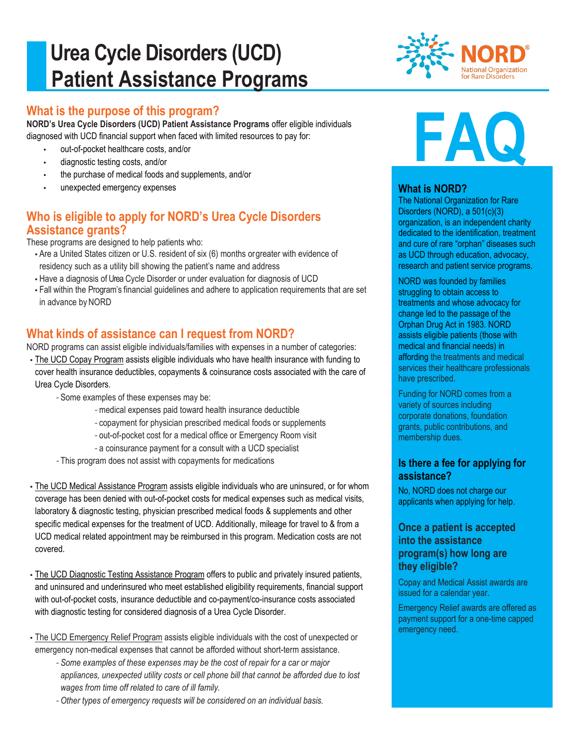# **Urea Cycle Disorders (UCD) Patient Assistance Programs**

## **What is the purpose of this program?**

**NORD's Urea Cycle Disorders (UCD) Patient Assistance Programs** offer eligible individuals diagnosed with UCD financial support when faced with limited resources to pay for:

- out-of-pocket healthcare costs, and/or
- diagnostic testing costs, and/or
- the purchase of medical foods and supplements, and/or
- unexpected emergency expenses

# **Who is eligible to apply for NORD's Urea Cycle Disorders Assistance grants?**

These programs are designed to help patients who:

- Are a United States citizen or U.S. resident of six (6) months orgreater with evidence of residency such as a utility bill showing the patient's name and address
- Have a diagnosis of Urea Cycle Disorder or under evaluation for diagnosis of UCD
- Fall within the Program's financial guidelines and adhere to application requirements that are set in advance by NORD

# **What kinds of assistance can I request from NORD?**

NORD programs can assist eligible individuals/families with expenses in a number of categories:

- The UCD Copay Program assists eligible individuals who have health insurance with funding to cover health insurance deductibles, copayments & coinsurance costs associated with the care of Urea Cycle Disorders.
	- *-* Some examples of these expenses may be:
		- *-* medical expenses paid toward health insurance deductible
		- *-* copayment for physician prescribed medical foods or supplements
		- *-* out-of-pocket cost for a medical office or Emergency Room visit
		- *-* a coinsurance payment for a consult with a UCD specialist
	- *-* This program does not assist with copayments for medications
- The UCD Medical Assistance Program assists eligible individuals who are uninsured, or for whom coverage has been denied with out-of-pocket costs for medical expenses such as medical visits, laboratory & diagnostic testing, physician prescribed medical foods & supplements and other specific medical expenses for the treatment of UCD. Additionally, mileage for travel to & from a UCD medical related appointment may be reimbursed in this program. Medication costs are not covered.
- The UCD Diagnostic Testing Assistance Program offers to public and privately insured patients, and uninsured and underinsured who meet established eligibility requirements, financial support with out-of-pocket costs, insurance deductible and co-payment/co-insurance costs associated with diagnostic testing for considered diagnosis of a Urea Cycle Disorder.
- The UCD Emergency Relief Program assists eligible individuals with the cost of unexpected or emergency non-medical expenses that cannot be afforded without short-term assistance.
	- *- Some examples of these expenses may be the cost of repair for a car or major appliances, unexpected utility costs or cell phone bill that cannot be afforded due to lost wages from time off related to care of ill family.*
	- *- Other types of emergency requests will be considered on an individual basis.*





### **What is NORD?**

The National Organization for Rare Disorders (NORD), a 501(c)(3) organization, is an independent charity dedicated to the identification, treatment and cure of rare "orphan" diseases such as UCD through education, advocacy, research and patient service programs.

NORD was founded by families struggling to obtain access to treatments and whose advocacy for change led to the passage of the Orphan Drug Act in 1983. NORD assists eligible patients (those with medical and financial needs) in affording the treatments and medical services their healthcare professionals have prescribed.

Funding for NORD comes from a variety of sources including corporate donations, foundation grants, public contributions, and membership dues.

### **Is there a fee for applying for assistance?**

No, NORD does not charge our applicants when applying for help.

### **Once a patient is accepted into the assistance program(s) how long are they eligible?**

Copay and Medical Assist awards are issued for a calendar year.

Emergency Relief awards are offered as payment support for a one-time capped emergency need.